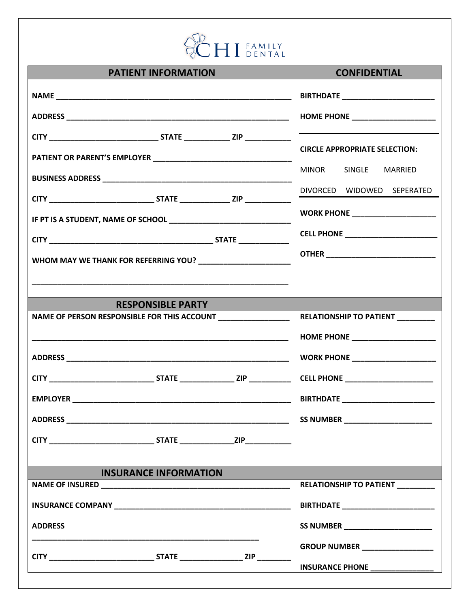

| <b>PATIENT INFORMATION</b>                                   | <b>CONFIDENTIAL</b>                                                                                                                                                                                                                  |
|--------------------------------------------------------------|--------------------------------------------------------------------------------------------------------------------------------------------------------------------------------------------------------------------------------------|
|                                                              | <b>BIRTHDATE</b> _______________________                                                                                                                                                                                             |
|                                                              | HOME PHONE ______________________                                                                                                                                                                                                    |
|                                                              |                                                                                                                                                                                                                                      |
|                                                              | <b>CIRCLE APPROPRIATE SELECTION:</b>                                                                                                                                                                                                 |
|                                                              | MINOR SINGLE MARRIED                                                                                                                                                                                                                 |
|                                                              | DIVORCED WIDOWED SEPERATED                                                                                                                                                                                                           |
|                                                              |                                                                                                                                                                                                                                      |
|                                                              |                                                                                                                                                                                                                                      |
|                                                              |                                                                                                                                                                                                                                      |
|                                                              |                                                                                                                                                                                                                                      |
|                                                              |                                                                                                                                                                                                                                      |
| <b>RESPONSIBLE PARTY</b>                                     |                                                                                                                                                                                                                                      |
| NAME OF PERSON RESPONSIBLE FOR THIS ACCOUNT ________________ | RELATIONSHIP TO PATIENT ________                                                                                                                                                                                                     |
|                                                              | HOME PHONE _______________________                                                                                                                                                                                                   |
|                                                              | <b>WORK PHONE ________________________</b>                                                                                                                                                                                           |
|                                                              |                                                                                                                                                                                                                                      |
|                                                              |                                                                                                                                                                                                                                      |
|                                                              | SS NUMBER <b>SALES AND STRUCK STATES AND STRUCK STRUCK STRUCK STATES AND STRUCK STRUCK STRUCK STRUCK STRUCK STRUCK STRUCK STRUCK STRUCK STRUCK STRUCK STRUCK STRUCK STRUCK STRUCK STRUCK STRUCK STRUCK STRUCK STRUCK STRUCK STRU</b> |
|                                                              |                                                                                                                                                                                                                                      |
|                                                              |                                                                                                                                                                                                                                      |
| <b>INSURANCE INFORMATION</b>                                 |                                                                                                                                                                                                                                      |
|                                                              | RELATIONSHIP TO PATIENT ________                                                                                                                                                                                                     |
|                                                              | <b>BIRTHDATE</b> ___________________________                                                                                                                                                                                         |
| <b>ADDRESS</b>                                               | SS NUMBER ________________________                                                                                                                                                                                                   |
|                                                              | GROUP NUMBER ___________________                                                                                                                                                                                                     |
|                                                              | INSURANCE PHONE ________________                                                                                                                                                                                                     |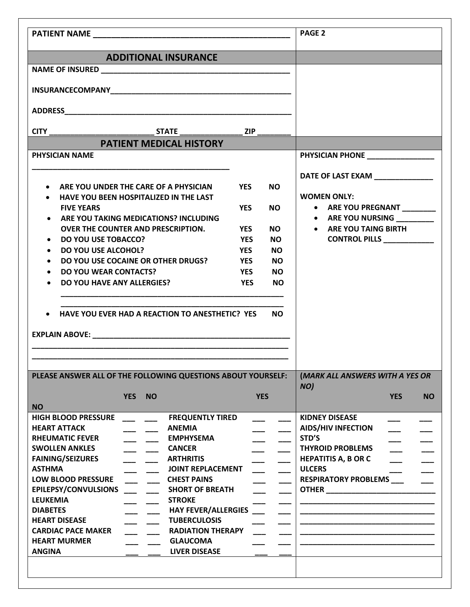|                                                  |                                                              |                       |           | <b>PAGE 2</b>                                         |
|--------------------------------------------------|--------------------------------------------------------------|-----------------------|-----------|-------------------------------------------------------|
|                                                  | <b>ADDITIONAL INSURANCE</b>                                  |                       |           |                                                       |
|                                                  |                                                              |                       |           |                                                       |
|                                                  |                                                              |                       |           |                                                       |
|                                                  |                                                              |                       |           |                                                       |
|                                                  |                                                              |                       |           |                                                       |
|                                                  |                                                              |                       |           |                                                       |
|                                                  | <b>PATIENT MEDICAL HISTORY</b>                               |                       |           |                                                       |
| <b>PHYSICIAN NAME</b>                            |                                                              |                       |           | PHYSICIAN PHONE <b>And All PHYSICIAN</b>              |
|                                                  |                                                              |                       |           |                                                       |
|                                                  |                                                              |                       |           | DATE OF LAST EXAM ______________                      |
|                                                  | • ARE YOU UNDER THE CARE OF A PHYSICIAN                      | <b>YES</b>            | <b>NO</b> |                                                       |
|                                                  | • HAVE YOU BEEN HOSPITALIZED IN THE LAST                     |                       |           | <b>WOMEN ONLY:</b>                                    |
| <b>FIVE YEARS</b>                                |                                                              | <b>YES</b>            | NO.       | • ARE YOU PREGNANT ________                           |
|                                                  | • ARE YOU TAKING MEDICATIONS? INCLUDING                      |                       |           | • ARE YOU NURSING                                     |
|                                                  | <b>OVER THE COUNTER AND PRESCRIPTION.</b>                    | YES                   | NO.       | • ARE YOU TAING BIRTH                                 |
| • DO YOU USE TOBACCO?                            |                                                              | YES                   | NO.       | CONTROL PILLS ____________                            |
| • DO YOU USE ALCOHOL?                            |                                                              | <b>YES</b>            | <b>NO</b> |                                                       |
|                                                  | • DO YOU USE COCAINE OR OTHER DRUGS?                         | <b>Example 19 YES</b> | <b>NO</b> |                                                       |
| • DO YOU WEAR CONTACTS?                          |                                                              | YES                   | <b>NO</b> |                                                       |
| <b>DO YOU HAVE ANY ALLERGIES?</b>                |                                                              | <b>YES</b>            | <b>NO</b> |                                                       |
|                                                  | • HAVE YOU EVER HAD A REACTION TO ANESTHETIC? YES            |                       | <b>NO</b> |                                                       |
|                                                  | PLEASE ANSWER ALL OF THE FOLLOWING QUESTIONS ABOUT YOURSELF: |                       |           | (MARK ALL ANSWERS WITH A YES OR                       |
|                                                  |                                                              |                       |           | NO)                                                   |
|                                                  | <b>YES</b><br><b>NO</b>                                      | <b>YES</b>            |           | <b>YES</b><br><b>NO</b>                               |
| <b>NO</b>                                        |                                                              |                       |           |                                                       |
| <b>HIGH BLOOD PRESSURE</b>                       | <b>FREQUENTLY TIRED</b>                                      |                       |           | <b>KIDNEY DISEASE</b>                                 |
| <b>HEART ATTACK</b>                              | <b>ANEMIA</b>                                                |                       |           | <b>AIDS/HIV INFECTION</b>                             |
| <b>RHEUMATIC FEVER</b>                           | <b>EMPHYSEMA</b>                                             |                       |           | STD'S                                                 |
| <b>SWOLLEN ANKLES</b><br><b>FAINING/SEIZURES</b> | <b>CANCER</b><br><b>ARTHRITIS</b>                            |                       |           | <b>THYROID PROBLEMS</b><br><b>HEPATITIS A, B OR C</b> |
| <b>ASTHMA</b>                                    | <b>JOINT REPLACEMENT</b>                                     |                       |           | <b>ULCERS</b>                                         |
| <b>LOW BLOOD PRESSURE</b>                        | <b>CHEST PAINS</b>                                           |                       |           | <b>RESPIRATORY PROBLEMS</b>                           |
| EPILEPSY/CONVULSIONS                             | <b>SHORT OF BREATH</b>                                       |                       |           |                                                       |
| <b>LEUKEMIA</b>                                  | <b>STROKE</b>                                                |                       |           |                                                       |
| <b>DIABETES</b>                                  | <b>HAY FEVER/ALLERGIES</b>                                   |                       |           |                                                       |
| <b>HEART DISEASE</b>                             | <b>TUBERCULOSIS</b>                                          |                       |           |                                                       |
| <b>CARDIAC PACE MAKER</b>                        | <b>RADIATION THERAPY</b>                                     |                       |           |                                                       |
| <b>HEART MURMER</b>                              | <b>GLAUCOMA</b>                                              |                       |           |                                                       |
| <b>ANGINA</b>                                    | <b>LIVER DISEASE</b>                                         |                       |           |                                                       |
|                                                  |                                                              |                       |           |                                                       |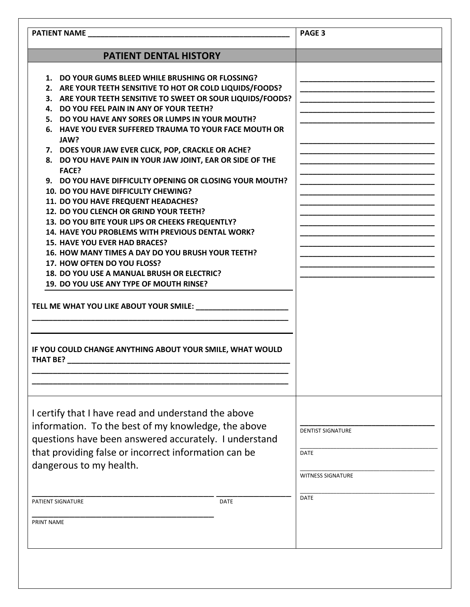|                   | <b>PATIENT NAME <i>PATIENT NAME</i></b>                                                                                                                                                                                                                                                                                                                                                                                                                                                                                                                                                                                                                                                                                                                                                                                                                                                                                                                                                                                                                                                                                                          | PAGE <sub>3</sub>                                                                  |
|-------------------|--------------------------------------------------------------------------------------------------------------------------------------------------------------------------------------------------------------------------------------------------------------------------------------------------------------------------------------------------------------------------------------------------------------------------------------------------------------------------------------------------------------------------------------------------------------------------------------------------------------------------------------------------------------------------------------------------------------------------------------------------------------------------------------------------------------------------------------------------------------------------------------------------------------------------------------------------------------------------------------------------------------------------------------------------------------------------------------------------------------------------------------------------|------------------------------------------------------------------------------------|
|                   | PATIENT DENTAL HISTORY                                                                                                                                                                                                                                                                                                                                                                                                                                                                                                                                                                                                                                                                                                                                                                                                                                                                                                                                                                                                                                                                                                                           |                                                                                    |
|                   | 1. DO YOUR GUMS BLEED WHILE BRUSHING OR FLOSSING?<br>2. ARE YOUR TEETH SENSITIVE TO HOT OR COLD LIQUIDS/FOODS?<br>3. ARE YOUR TEETH SENSITIVE TO SWEET OR SOUR LIQUIDS/FOODS?<br>4. DO YOU FEEL PAIN IN ANY OF YOUR TEETH?<br>5. DO YOU HAVE ANY SORES OR LUMPS IN YOUR MOUTH?<br>6. HAVE YOU EVER SUFFERED TRAUMA TO YOUR FACE MOUTH OR<br>JAW?<br>7. DOES YOUR JAW EVER CLICK, POP, CRACKLE OR ACHE?<br>8. DO YOU HAVE PAIN IN YOUR JAW JOINT, EAR OR SIDE OF THE<br><b>FACE?</b><br>9. DO YOU HAVE DIFFICULTY OPENING OR CLOSING YOUR MOUTH?<br>10. DO YOU HAVE DIFFICULTY CHEWING?<br>11. DO YOU HAVE FREQUENT HEADACHES?<br>12. DO YOU CLENCH OR GRIND YOUR TEETH?<br>13. DO YOU BITE YOUR LIPS OR CHEEKS FREQUENTLY?<br>14. HAVE YOU PROBLEMS WITH PREVIOUS DENTAL WORK?<br><b>15. HAVE YOU EVER HAD BRACES?</b><br>16. HOW MANY TIMES A DAY DO YOU BRUSH YOUR TEETH?<br>17. HOW OFTEN DO YOU FLOSS?<br>18. DO YOU USE A MANUAL BRUSH OR ELECTRIC?<br>19. DO YOU USE ANY TYPE OF MOUTH RINSE?<br>TELL ME WHAT YOU LIKE ABOUT YOUR SMILE: NAMEL ALL ARE AN ASSEMBLED ASSESSED.<br>IF YOU COULD CHANGE ANYTHING ABOUT YOUR SMILE, WHAT WOULD |                                                                                    |
| <b>THAT BE?</b>   |                                                                                                                                                                                                                                                                                                                                                                                                                                                                                                                                                                                                                                                                                                                                                                                                                                                                                                                                                                                                                                                                                                                                                  |                                                                                    |
|                   | I certify that I have read and understand the above<br>information. To the best of my knowledge, the above<br>questions have been answered accurately. I understand<br>that providing false or incorrect information can be<br>dangerous to my health.<br>PATIENT SIGNATURE<br><b>DATE</b>                                                                                                                                                                                                                                                                                                                                                                                                                                                                                                                                                                                                                                                                                                                                                                                                                                                       | <b>DENTIST SIGNATURE</b><br><b>DATE</b><br><b>WITNESS SIGNATURE</b><br><b>DATE</b> |
| <b>PRINT NAME</b> |                                                                                                                                                                                                                                                                                                                                                                                                                                                                                                                                                                                                                                                                                                                                                                                                                                                                                                                                                                                                                                                                                                                                                  |                                                                                    |
|                   |                                                                                                                                                                                                                                                                                                                                                                                                                                                                                                                                                                                                                                                                                                                                                                                                                                                                                                                                                                                                                                                                                                                                                  |                                                                                    |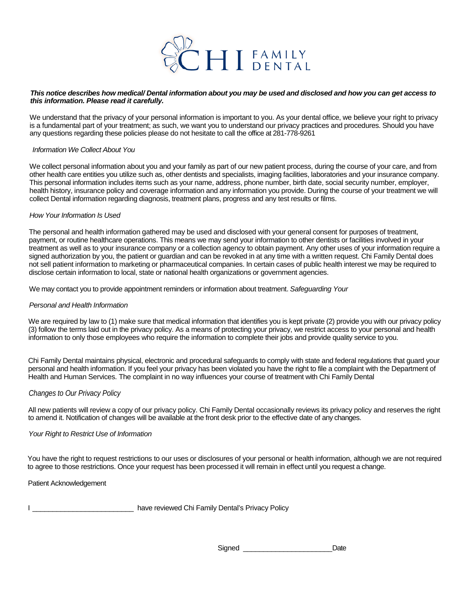

#### *This notice describes how medical/ Dental information about you may be used and disclosed and how you can get access to this information. Please read it carefully.*

We understand that the privacy of your personal information is important to you. As your dental office, we believe your right to privacy is a fundamental part of your treatment; as such, we want you to understand our privacy practices and procedures. Should you have any questions regarding these policies please do not hesitate to call the office at 281-778-9261

### *Information We Collect About You*

We collect personal information about you and your family as part of our new patient process, during the course of your care, and from other health care entities you utilize such as, other dentists and specialists, imaging facilities, laboratories and your insurance company. This personal information includes items such as your name, address, phone number, birth date, social security number, employer, health history, insurance policy and coverage information and any information you provide. During the course of your treatment we will collect Dental information regarding diagnosis, treatment plans, progress and any test results or films.

### *How Your Information Is Used*

The personal and health information gathered may be used and disclosed with your general consent for purposes of treatment, payment, or routine healthcare operations. This means we may send your information to other dentists or facilities involved in your treatment as well as to your insurance company or a collection agency to obtain payment. Any other uses of your information require a signed authorization by you, the patient or guardian and can be revoked in at any time with a written request. Chi Family Dental does not sell patient information to marketing or pharmaceutical companies. In certain cases of public health interest we may be required to disclose certain information to local, state or national health organizations or government agencies.

We may contact you to provide appointment reminders or information about treatment. *Safeguarding Your* 

### *Personal and Health Information*

We are required by law to (1) make sure that medical information that identifies you is kept private (2) provide you with our privacy policy (3) follow the terms laid out in the privacy policy. As a means of protecting your privacy, we restrict access to your personal and health information to only those employees who require the information to complete their jobs and provide quality service to you.

Chi Family Dental maintains physical, electronic and procedural safeguards to comply with state and federal regulations that guard your personal and health information. If you feel your privacy has been violated you have the right to file a complaint with the Department of Health and Human Services. The complaint in no way influences your course of treatment with Chi Family Dental

### *Changes to Our Privacy Policy*

All new patients will review a copy of our privacy policy. Chi Family Dental occasionally reviews its privacy policy and reserves the right to amend it. Notification of changes will be available at the front desk prior to the effective date of any changes.

#### *Your Right to Restrict Use of Information*

You have the right to request restrictions to our uses or disclosures of your personal or health information, although we are not required to agree to those restrictions. Once your request has been processed it will remain in effect until you request a change.

Patient Acknowledgement

I Lease the Chi Family Dental's Privacy Policy

Signed **Date**